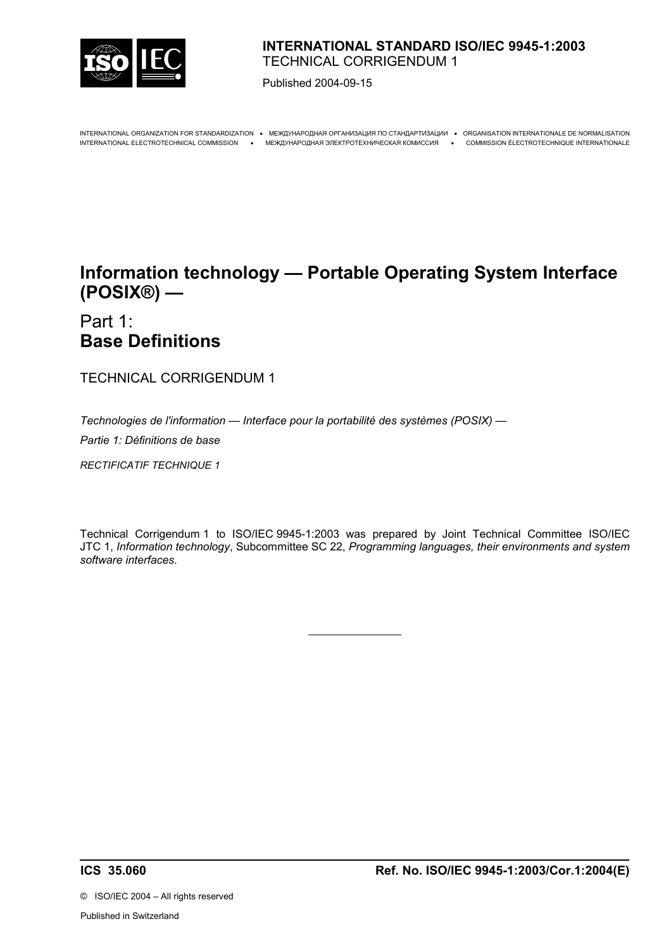

# **INTERNATIONAL STANDARD ISO/IEC 9945-1:2003**  TECHNICAL CORRIGENDUM 1

Published 2004-09-15

INTERNATIONAL ORGANIZATION FOR STANDARDIZATION • МЕЖДУНАРОДНАЯ ОРГАНИЗАЦИЯ ПО СТАНДАРТИЗАЦИИ • ORGANISATION INTERNATIONALE DE NORMALISATION INTERNATIONAL ELECTROTECHNICAL COMMISSION • МЕЖДУНАРОДНАЯ ЭЛЕКТРОТЕХНИЧЕСКАЯ КОМИССИЯ • COMMISSION ÉLECTROTECHNIQUE INTERNATIONALE

# **Information technology — Portable Operating System Interface (POSIX®) —**

# Part 1: **Base Definitions**

TECHNICAL CORRIGENDUM 1

*Technologies de l'information — Interface pour la portabilité des systèmes (POSIX) —*

 $\overline{a}$ 

*Partie 1: Définitions de base*

*RECTIFICATIF TECHNIQUE 1*

Technical Corrigendum 1 to ISO/IEC 9945-1:2003 was prepared by Joint Technical Committee ISO/IEC JTC 1, *Information technology*, Subcommittee SC 22, *Programming languages, their environments and system software interfaces.*

©ISO/IEC 2004 – All rights reserved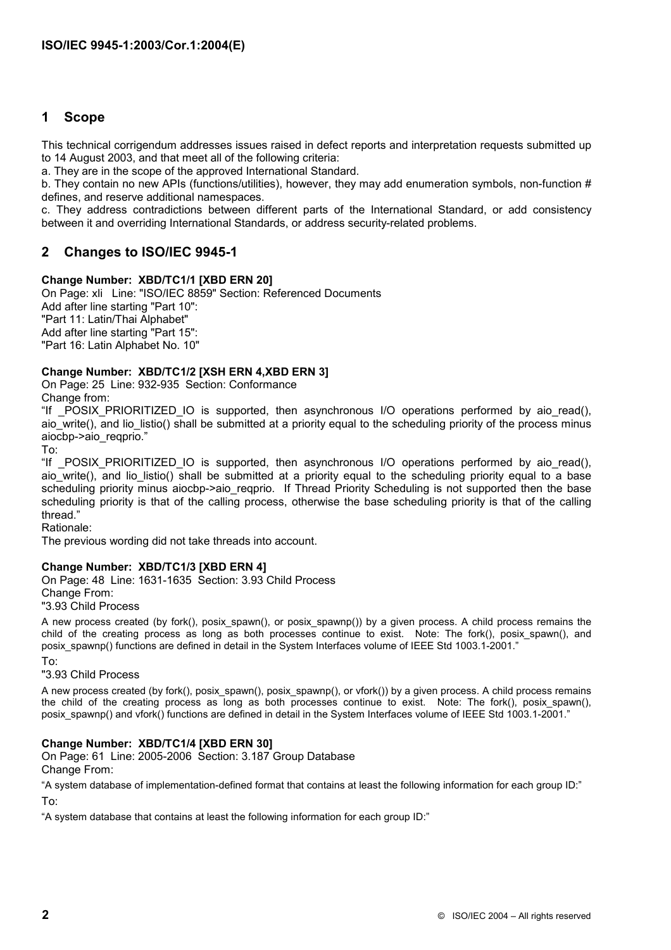# **1 Scope**

This technical corrigendum addresses issues raised in defect reports and interpretation requests submitted up to 14 August 2003, and that meet all of the following criteria:

a. They are in the scope of the approved International Standard.

b. They contain no new APIs (functions/utilities), however, they may add enumeration symbols, non-function # defines, and reserve additional namespaces.

c. They address contradictions between different parts of the International Standard, or add consistency between it and overriding International Standards, or address security-related problems.

# **2 Changes to ISO/IEC 9945-1**

# **Change Number: XBD/TC1/1 [XBD ERN 20]**

On Page: xli Line: "ISO/IEC 8859" Section: Referenced Documents Add after line starting "Part 10": "Part 11: Latin/Thai Alphabet" Add after line starting "Part 15": "Part 16: Latin Alphabet No. 10"

# **Change Number: XBD/TC1/2 [XSH ERN 4,XBD ERN 3]**

On Page: 25 Line: 932-935 Section: Conformance Change from:

"If POSIX PRIORITIZED IO is supported, then asynchronous I/O operations performed by aio read(), aio write(), and lio listio() shall be submitted at a priority equal to the scheduling priority of the process minus aiocbp->aio\_reqprio."

To:

"If \_POSIX\_PRIORITIZED\_IO is supported, then asynchronous I/O operations performed by aio\_read(), aio write(), and lio listio() shall be submitted at a priority equal to the scheduling priority equal to a base scheduling priority minus aiocbp->aio\_reqprio. If Thread Priority Scheduling is not supported then the base scheduling priority is that of the calling process, otherwise the base scheduling priority is that of the calling thread."

Rationale:

The previous wording did not take threads into account.

#### **Change Number: XBD/TC1/3 [XBD ERN 4]**

On Page: 48 Line: 1631-1635 Section: 3.93 Child Process Change From: "3.93 Child Process

A new process created (by fork(), posix\_spawn(), or posix\_spawnp()) by a given process. A child process remains the child of the creating process as long as both processes continue to exist. Note: The fork(), posix\_spawn(), and posix spawnp() functions are defined in detail in the System Interfaces volume of IEEE Std 1003.1-2001."

To:

## "3.93 Child Process

A new process created (by fork(), posix\_spawn(), posix\_spawnp(), or vfork()) by a given process. A child process remains the child of the creating process as long as both processes continue to exist. Note: The fork(), posix spawn(), posix\_spawnp() and vfork() functions are defined in detail in the System Interfaces volume of IEEE Std 1003.1-2001."

#### **Change Number: XBD/TC1/4 [XBD ERN 30]**

On Page: 61 Line: 2005-2006 Section: 3.187 Group Database Change From:

"A system database of implementation-defined format that contains at least the following information for each group ID:"

To:

"A system database that contains at least the following information for each group ID:"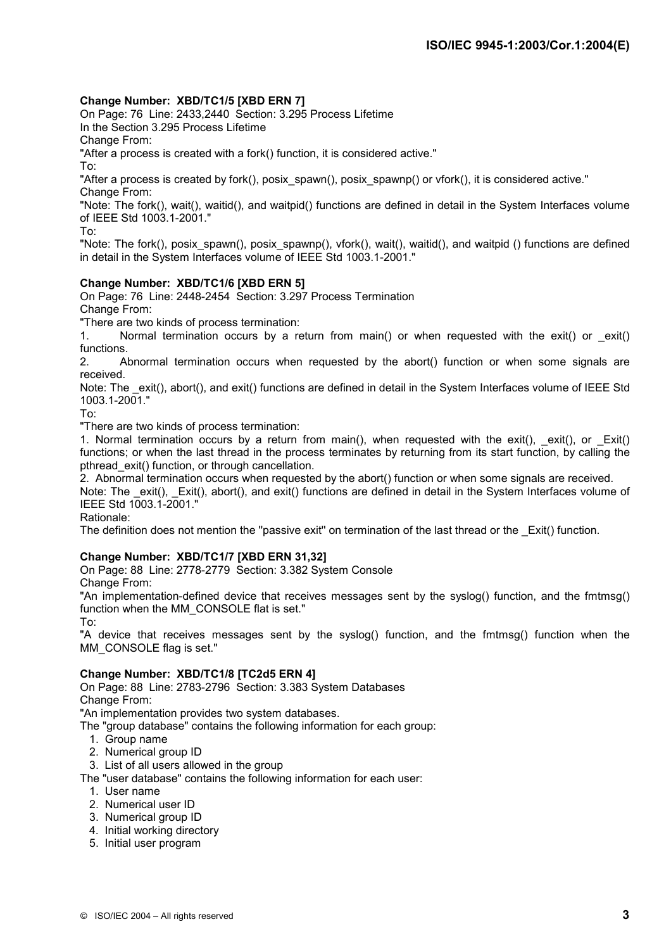# **Change Number: XBD/TC1/5 [XBD ERN 7]**

On Page: 76 Line: 2433,2440 Section: 3.295 Process Lifetime

In the Section 3.295 Process Lifetime

Change From:

"After a process is created with a fork() function, it is considered active."

To:

"After a process is created by fork(), posix\_spawn(), posix\_spawnp() or vfork(), it is considered active." Change From:

"Note: The fork(), wait(), waitid(), and waitpid() functions are defined in detail in the System Interfaces volume of IEEE Std 1003.1-2001."

To:

"Note: The fork(), posix\_spawn(), posix\_spawnp(), vfork(), wait(), waitid(), and waitpid () functions are defined in detail in the System Interfaces volume of IEEE Std 1003.1-2001."

# **Change Number: XBD/TC1/6 [XBD ERN 5]**

On Page: 76 Line: 2448-2454 Section: 3.297 Process Termination Change From:

"There are two kinds of process termination:

1. Normal termination occurs by a return from main() or when requested with the exit() or  $exit()$ functions.

2. Abnormal termination occurs when requested by the abort() function or when some signals are received.

Note: The \_exit(), abort(), and exit() functions are defined in detail in the System Interfaces volume of IEEE Std 1003.1-2001."

To:

"There are two kinds of process termination:

1. Normal termination occurs by a return from main(), when requested with the exit(), exit(), or  $Exit()$ functions; or when the last thread in the process terminates by returning from its start function, by calling the pthread\_exit() function, or through cancellation.

2. Abnormal termination occurs when requested by the abort() function or when some signals are received.

Note: The \_exit(), \_Exit(), abort(), and exit() functions are defined in detail in the System Interfaces volume of IEEE Std 1003.1-2001."

Rationale:

The definition does not mention the "passive exit" on termination of the last thread or the Exit() function.

# **Change Number: XBD/TC1/7 [XBD ERN 31,32]**

On Page: 88 Line: 2778-2779 Section: 3.382 System Console

Change From: "An implementation-defined device that receives messages sent by the syslog() function, and the fmtmsg()

function when the MM\_CONSOLE flat is set."

To:

"A device that receives messages sent by the syslog() function, and the fmtmsg() function when the MM\_CONSOLE flag is set."

# **Change Number: XBD/TC1/8 [TC2d5 ERN 4]**

On Page: 88 Line: 2783-2796 Section: 3.383 System Databases Change From:

"An implementation provides two system databases.

The "group database" contains the following information for each group:

- 1. Group name
- 2. Numerical group ID
- 3. List of all users allowed in the group

The "user database" contains the following information for each user:

- 1. User name
- 2. Numerical user ID
- 3. Numerical group ID
- 4. Initial working directory
- 5. Initial user program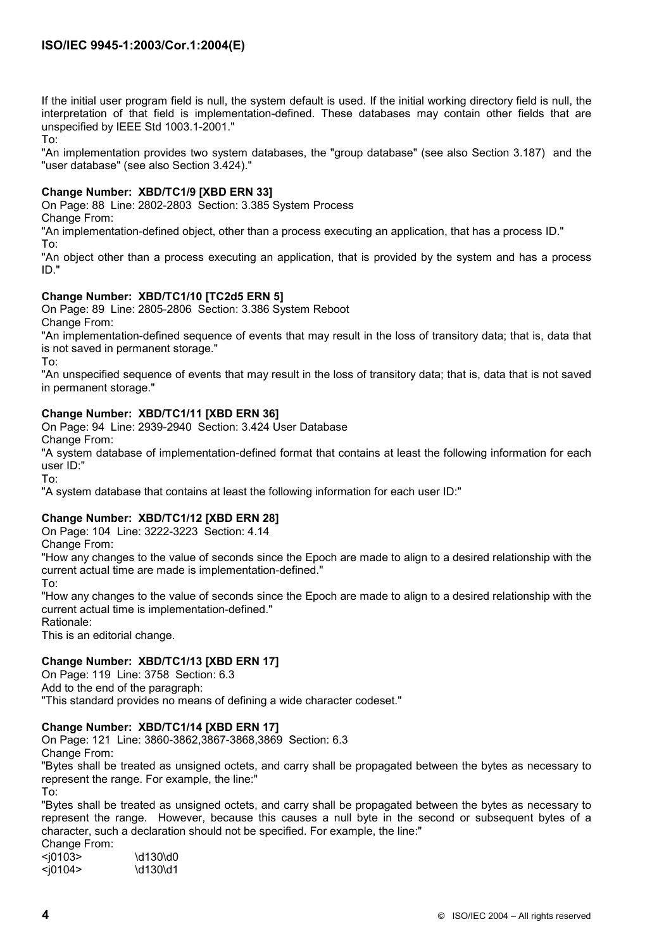If the initial user program field is null, the system default is used. If the initial working directory field is null, the interpretation of that field is implementation-defined. These databases may contain other fields that are unspecified by IEEE Std 1003.1-2001."

To:

"An implementation provides two system databases, the "group database" (see also Section 3.187) and the "user database" (see also Section 3.424)."

## **Change Number: XBD/TC1/9 [XBD ERN 33]**

On Page: 88 Line: 2802-2803 Section: 3.385 System Process

Change From:

"An implementation-defined object, other than a process executing an application, that has a process ID." To:

"An object other than a process executing an application, that is provided by the system and has a process ID."

# **Change Number: XBD/TC1/10 [TC2d5 ERN 5]**

On Page: 89 Line: 2805-2806 Section: 3.386 System Reboot Change From:

"An implementation-defined sequence of events that may result in the loss of transitory data; that is, data that is not saved in permanent storage."

To:

"An unspecified sequence of events that may result in the loss of transitory data; that is, data that is not saved in permanent storage."

# **Change Number: XBD/TC1/11 [XBD ERN 36]**

On Page: 94 Line: 2939-2940 Section: 3.424 User Database

Change From:

"A system database of implementation-defined format that contains at least the following information for each user ID:"

To:

"A system database that contains at least the following information for each user ID:"

# **Change Number: XBD/TC1/12 [XBD ERN 28]**

On Page: 104 Line: 3222-3223 Section: 4.14

Change From:

"How any changes to the value of seconds since the Epoch are made to align to a desired relationship with the current actual time are made is implementation-defined."

To:

"How any changes to the value of seconds since the Epoch are made to align to a desired relationship with the current actual time is implementation-defined."

Rationale:

This is an editorial change.

# **Change Number: XBD/TC1/13 [XBD ERN 17]**

On Page: 119 Line: 3758 Section: 6.3

Add to the end of the paragraph:

"This standard provides no means of defining a wide character codeset."

# **Change Number: XBD/TC1/14 [XBD ERN 17]**

On Page: 121 Line: 3860-3862,3867-3868,3869 Section: 6.3 Change From:

"Bytes shall be treated as unsigned octets, and carry shall be propagated between the bytes as necessary to

represent the range. For example, the line:"

To:

"Bytes shall be treated as unsigned octets, and carry shall be propagated between the bytes as necessary to represent the range. However, because this causes a null byte in the second or subsequent bytes of a character, such a declaration should not be specified. For example, the line:"

Change From: <j0103> \d130\d0

 $\langle$ j0104>  $\langle$ d130 $\rangle$ d1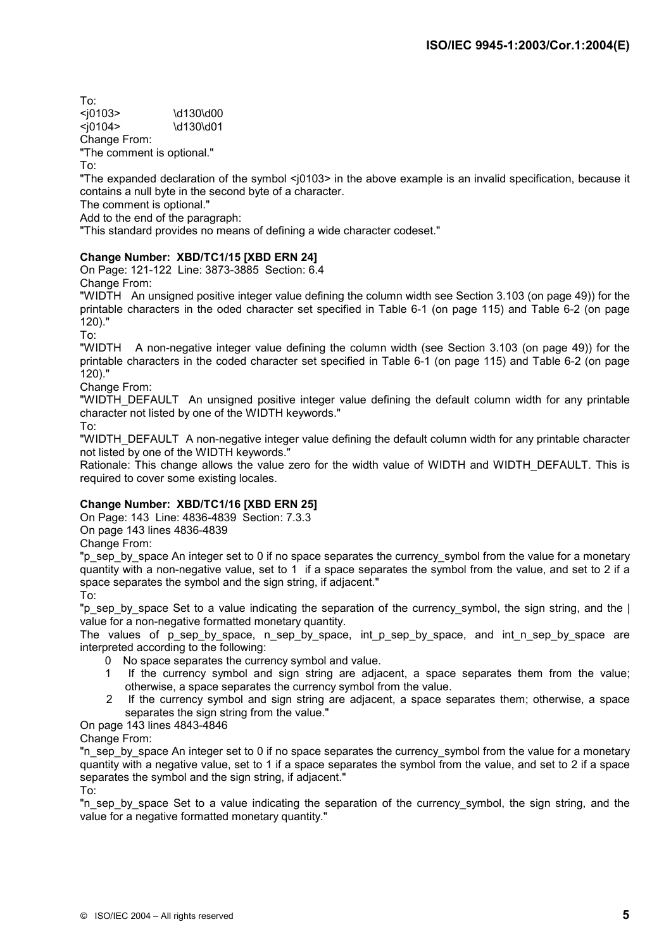| To:        |           |
|------------|-----------|
| $10103$    | \d130\d00 |
| $<$ j0104> | \d130\d01 |
|            |           |

Change From:

"The comment is optional."

To:

"The expanded declaration of the symbol <j0103> in the above example is an invalid specification, because it contains a null byte in the second byte of a character.

The comment is optional."

Add to the end of the paragraph:

"This standard provides no means of defining a wide character codeset."

# **Change Number: XBD/TC1/15 [XBD ERN 24]**

On Page: 121-122 Line: 3873-3885 Section: 6.4 Change From:

"WIDTH An unsigned positive integer value defining the column width see Section 3.103 (on page 49)) for the printable characters in the oded character set specified in Table 6-1 (on page 115) and Table 6-2 (on page 120)."

To:

"WIDTH A non-negative integer value defining the column width (see Section 3.103 (on page 49)) for the printable characters in the coded character set specified in Table 6-1 (on page 115) and Table 6-2 (on page 120)."

Change From:

"WIDTH\_DEFAULT An unsigned positive integer value defining the default column width for any printable character not listed by one of the WIDTH keywords."

To:

"WIDTH\_DEFAULT\_A non-negative integer value defining the default column width for any printable character not listed by one of the WIDTH keywords."

Rationale: This change allows the value zero for the width value of WIDTH and WIDTH DEFAULT. This is required to cover some existing locales.

# **Change Number: XBD/TC1/16 [XBD ERN 25]**

On Page: 143 Line: 4836-4839 Section: 7.3.3

On page 143 lines 4836-4839

Change From:

"p\_sep\_by\_space An integer set to 0 if no space separates the currency\_symbol from the value for a monetary quantity with a non-negative value, set to 1 if a space separates the symbol from the value, and set to 2 if a space separates the symbol and the sign string, if adjacent." To:

"p\_sep\_by\_space Set to a value indicating the separation of the currency\_symbol, the sign string, and the | value for a non-negative formatted monetary quantity.

The values of p\_sep\_by\_space, n\_sep\_by\_space, int\_p\_sep\_by\_space, and int\_n\_sep\_by\_space are interpreted according to the following:

- 0 No space separates the currency symbol and value.
- 1 If the currency symbol and sign string are adjacent, a space separates them from the value; otherwise, a space separates the currency symbol from the value.
- 2 If the currency symbol and sign string are adjacent, a space separates them; otherwise, a space separates the sign string from the value."

# On page 143 lines 4843-4846

Change From:

"n\_sep\_by\_space An integer set to 0 if no space separates the currency\_symbol from the value for a monetary quantity with a negative value, set to 1 if a space separates the symbol from the value, and set to 2 if a space separates the symbol and the sign string, if adjacent."

To:

"n sep by space Set to a value indicating the separation of the currency symbol, the sign string, and the value for a negative formatted monetary quantity."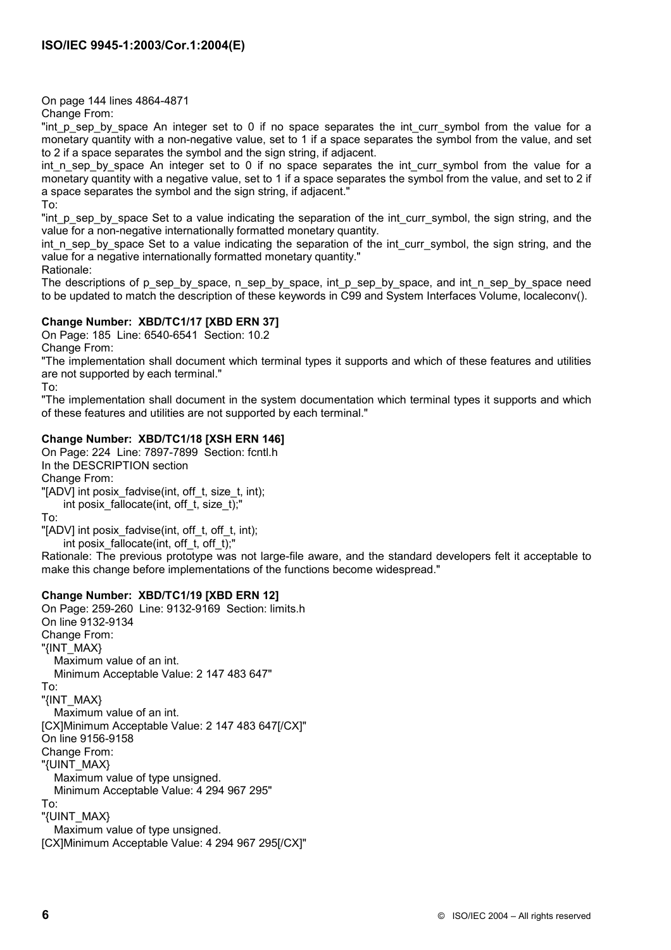On page 144 lines 4864-4871

Change From:

"int p sep by space An integer set to 0 if no space separates the int curr symbol from the value for a monetary quantity with a non-negative value, set to 1 if a space separates the symbol from the value, and set to 2 if a space separates the symbol and the sign string, if adjacent.

int\_n\_sep\_by\_space An integer set to 0 if no space separates the int\_curr\_symbol from the value for a monetary quantity with a negative value, set to 1 if a space separates the symbol from the value, and set to 2 if a space separates the symbol and the sign string, if adjacent."

To:

"int p\_sep\_by\_space Set to a value indicating the separation of the int\_curr\_symbol, the sign string, and the value for a non-negative internationally formatted monetary quantity.

int n sep by space Set to a value indicating the separation of the int curr symbol, the sign string, and the value for a negative internationally formatted monetary quantity."

Rationale:

The descriptions of p\_sep\_by\_space, n\_sep\_by\_space, int\_p\_sep\_by\_space, and int\_n\_sep\_by\_space\_need to be updated to match the description of these keywords in C99 and System Interfaces Volume, localeconv().

# **Change Number: XBD/TC1/17 [XBD ERN 37]**

On Page: 185 Line: 6540-6541 Section: 10.2 Change From:

"The implementation shall document which terminal types it supports and which of these features and utilities are not supported by each terminal."

To:

"The implementation shall document in the system documentation which terminal types it supports and which of these features and utilities are not supported by each terminal."

# **Change Number: XBD/TC1/18 [XSH ERN 146]**

On Page: 224 Line: 7897-7899 Section: fcntl.h In the DESCRIPTION section Change From: "[ADV] int posix fadvise(int, off t, size t, int); int posix\_fallocate(int, off\_t, size\_t);"

To:

"[ADV] int posix fadvise(int, off t, off t, int);

int posix fallocate(int, off t, off t);"

Rationale: The previous prototype was not large-file aware, and the standard developers felt it acceptable to make this change before implementations of the functions become widespread."

# **Change Number: XBD/TC1/19 [XBD ERN 12]**

On Page: 259-260 Line: 9132-9169 Section: limits.h On line 9132-9134 Change From: "{INT\_MAX} Maximum value of an int. Minimum Acceptable Value: 2 147 483 647" To: "{INT\_MAX} Maximum value of an int. [CX]Minimum Acceptable Value: 2 147 483 647[/CX]" On line 9156-9158 Change From: "{UINT\_MAX} Maximum value of type unsigned. Minimum Acceptable Value: 4 294 967 295" To: "{UINT\_MAX} Maximum value of type unsigned. [CX]Minimum Acceptable Value: 4 294 967 295[/CX]"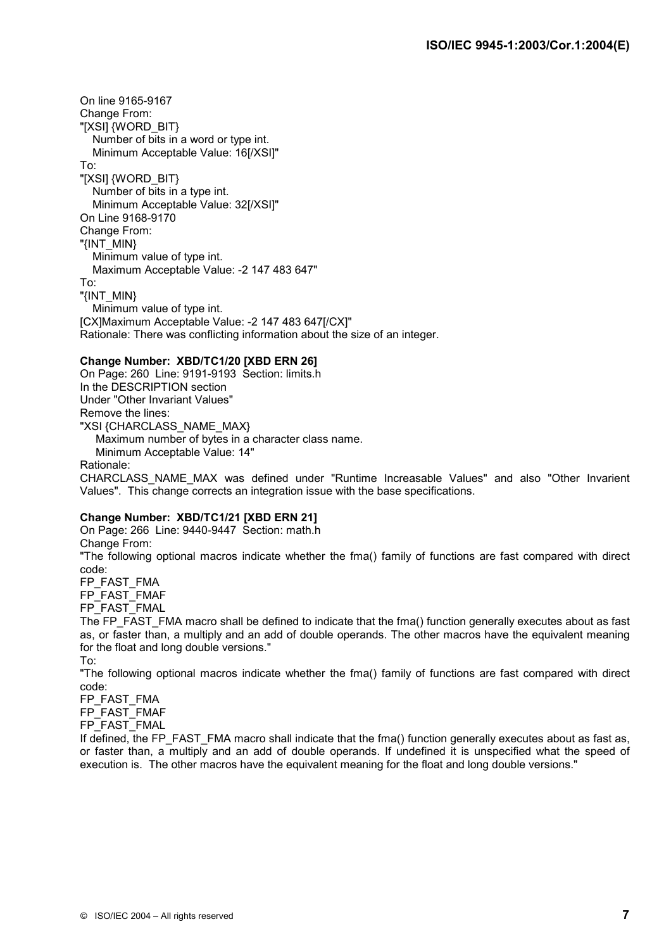On line 9165-9167 Change From: "[XSI] {WORD\_BIT} Number of bits in a word or type int. Minimum Acceptable Value: 16[/XSI]" To: "[XSI] {WORD\_BIT} Number of bits in a type int. Minimum Acceptable Value: 32[/XSI]" On Line 9168-9170 Change From: "{INT\_MIN} Minimum value of type int. Maximum Acceptable Value: -2 147 483 647" To: "{INT\_MIN} Minimum value of type int. [CX]Maximum Acceptable Value: -2 147 483 647[/CX]" Rationale: There was conflicting information about the size of an integer.

## **Change Number: XBD/TC1/20 [XBD ERN 26]**

On Page: 260 Line: 9191-9193 Section: limits.h In the DESCRIPTION section Under "Other Invariant Values" Remove the lines: "XSI {CHARCLASS\_NAME\_MAX} Maximum number of bytes in a character class name. Minimum Acceptable Value: 14" Rationale:

CHARCLASS\_NAME\_MAX was defined under "Runtime Increasable Values" and also "Other Invarient Values". This change corrects an integration issue with the base specifications.

#### **Change Number: XBD/TC1/21 [XBD ERN 21]**

On Page: 266 Line: 9440-9447 Section: math.h Change From: "The following optional macros indicate whether the fma() family of functions are fast compared with direct code:

FP\_FAST\_FMA FP\_FAST\_FMAF FP\_FAST\_FMAL

The FP\_FAST\_FMA macro shall be defined to indicate that the fma() function generally executes about as fast as, or faster than, a multiply and an add of double operands. The other macros have the equivalent meaning for the float and long double versions."

To:

"The following optional macros indicate whether the fma() family of functions are fast compared with direct code:

FP\_FAST\_FMA

FP\_FAST\_FMAF

FP\_FAST\_FMAL

If defined, the FP\_FAST\_FMA macro shall indicate that the fma() function generally executes about as fast as, or faster than, a multiply and an add of double operands. If undefined it is unspecified what the speed of execution is. The other macros have the equivalent meaning for the float and long double versions."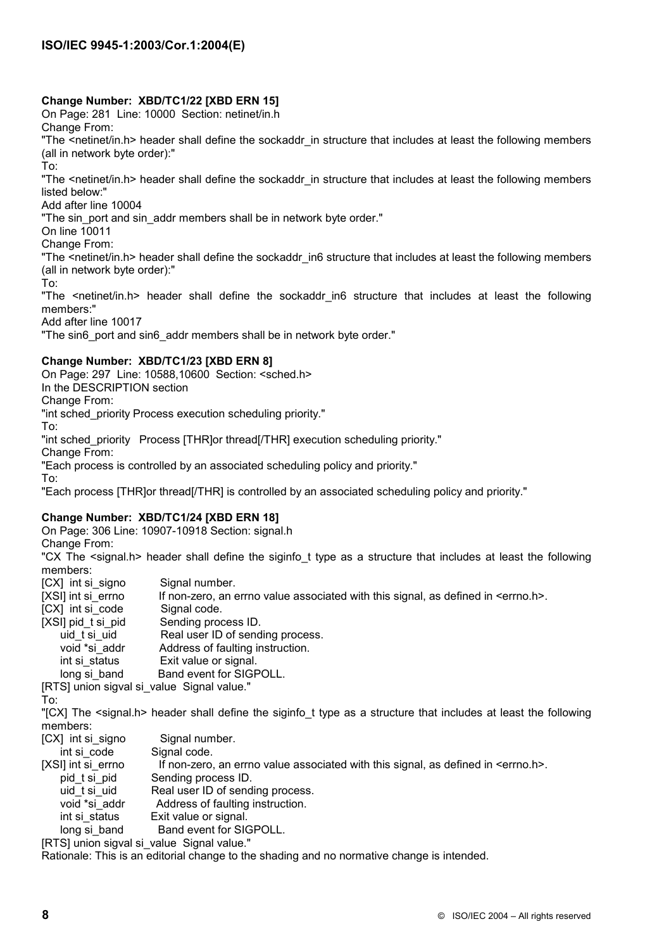# **Change Number: XBD/TC1/22 [XBD ERN 15]**

On Page: 281 Line: 10000 Section: netinet/in.h

Change From:

"The <netinet/in.h> header shall define the sockaddr in structure that includes at least the following members (all in network byte order):"

To:

"The <netinet/in.h> header shall define the sockaddr in structure that includes at least the following members listed below:"

Add after line 10004

"The sin port and sin addr members shall be in network byte order."

On line 10011

Change From:

"The <netinet/in.h> header shall define the sockaddr\_in6 structure that includes at least the following members (all in network byte order):"

To:

"The <netinet/in.h> header shall define the sockaddr\_in6 structure that includes at least the following members:"

Add after line 10017

"The sin6 port and sin6 addr members shall be in network byte order."

# **Change Number: XBD/TC1/23 [XBD ERN 8]**

On Page: 297 Line: 10588,10600 Section: <sched.h>

In the DESCRIPTION section

Change From:

"int sched priority Process execution scheduling priority."

To:

"int sched\_priority Process [THR]or thread[/THR] execution scheduling priority."

Change From:

"Each process is controlled by an associated scheduling policy and priority."

To:

"Each process [THR]or thread[/THR] is controlled by an associated scheduling policy and priority."

# **Change Number: XBD/TC1/24 [XBD ERN 18]**

On Page: 306 Line: 10907-10918 Section: signal.h

Change From:

"CX The <signal.h> header shall define the siginfo t type as a structure that includes at least the following members:

- [CX] int si\_signo Signal number.
- [XSI] int si\_errno If non-zero, an errno value associated with this signal, as defined in <errno.h>.
- [CX] int si\_code Signal code.
- [XSI] pid\_t si\_pid Sending process ID.
- uid t si uid Real user ID of sending process.
- void \*si\_addr Address of faulting instruction.
- int si status Exit value or signal.
- long si band Band event for SIGPOLL.

[RTS] union sigval si\_value Signal value."

To:

"[CX] The <signal.h> header shall define the siginfo\_t type as a structure that includes at least the following members:

- [CX] int si\_signo Signal number.
- int si code Signal code.
- [XSI] int si errno If non-zero, an errno value associated with this signal, as defined in  $\leq$ errno.h>.
	- pid\_t si\_pid Sending process ID.
	- uid t si uid Real user ID of sending process.
	- void \*si\_addr Address of faulting instruction.
	- int si\_status Exit value or signal.
- long si\_band Band event for SIGPOLL.

[RTS] union sigval si\_value Signal value."

Rationale: This is an editorial change to the shading and no normative change is intended.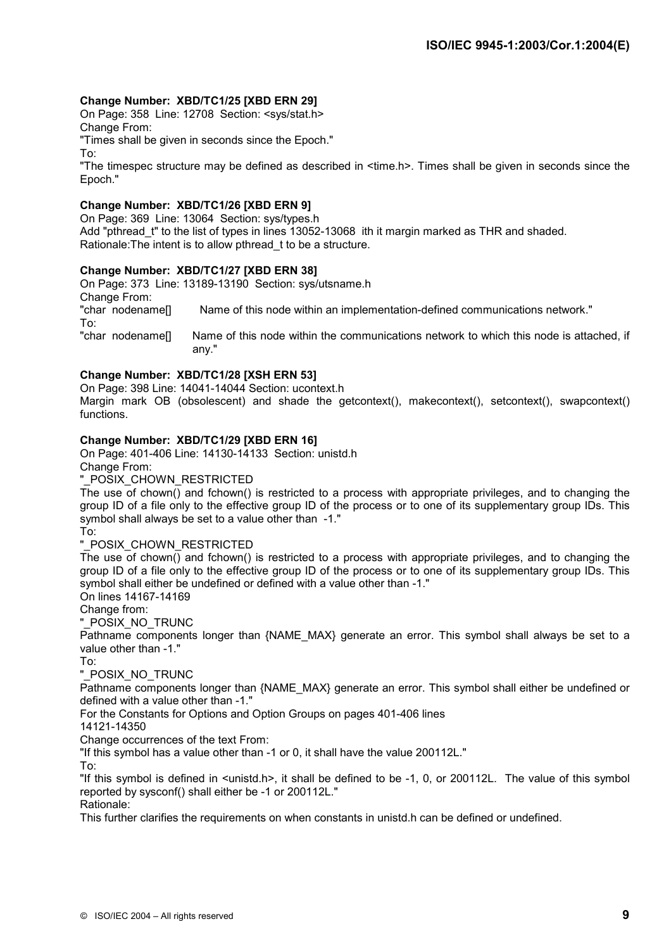## **Change Number: XBD/TC1/25 [XBD ERN 29]**

On Page: 358 Line: 12708 Section: <sys/stat.h> Change From:

"Times shall be given in seconds since the Epoch."

To:

"The timespec structure may be defined as described in <time.h>. Times shall be given in seconds since the Epoch."

#### **Change Number: XBD/TC1/26 [XBD ERN 9]**

On Page: 369 Line: 13064 Section: sys/types.h Add "pthread t" to the list of types in lines 13052-13068 ith it margin marked as THR and shaded. Rationale:The intent is to allow pthread\_t to be a structure.

## **Change Number: XBD/TC1/27 [XBD ERN 38]**

On Page: 373 Line: 13189-13190 Section: sys/utsname.h Change From: "char nodename[] Name of this node within an implementation-defined communications network." To: "char nodename[] Name of this node within the communications network to which this node is attached, if any."

## **Change Number: XBD/TC1/28 [XSH ERN 53]**

On Page: 398 Line: 14041-14044 Section: ucontext.h

Margin mark OB (obsolescent) and shade the getcontext(), makecontext(), setcontext(), swapcontext() functions.

## **Change Number: XBD/TC1/29 [XBD ERN 16]**

On Page: 401-406 Line: 14130-14133 Section: unistd.h Change From:

"\_POSIX\_CHOWN\_RESTRICTED

The use of chown() and fchown() is restricted to a process with appropriate privileges, and to changing the group ID of a file only to the effective group ID of the process or to one of its supplementary group IDs. This symbol shall always be set to a value other than -1."

To:

#### "\_POSIX\_CHOWN\_RESTRICTED

The use of chown() and fchown() is restricted to a process with appropriate privileges, and to changing the group ID of a file only to the effective group ID of the process or to one of its supplementary group IDs. This symbol shall either be undefined or defined with a value other than -1."

On lines 14167-14169

Change from:

"\_POSIX\_NO\_TRUNC

Pathname components longer than {NAME\_MAX} generate an error. This symbol shall always be set to a value other than -1."

To:

#### "\_POSIX\_NO\_TRUNC

Pathname components longer than {NAME\_MAX} generate an error. This symbol shall either be undefined or defined with a value other than -1."

For the Constants for Options and Option Groups on pages 401-406 lines

14121-14350

Change occurrences of the text From:

"If this symbol has a value other than -1 or 0, it shall have the value 200112L."

To:

"If this symbol is defined in <unistd.h>, it shall be defined to be -1, 0, or 200112L. The value of this symbol reported by sysconf() shall either be -1 or 200112L."

#### Rationale:

This further clarifies the requirements on when constants in unistd.h can be defined or undefined.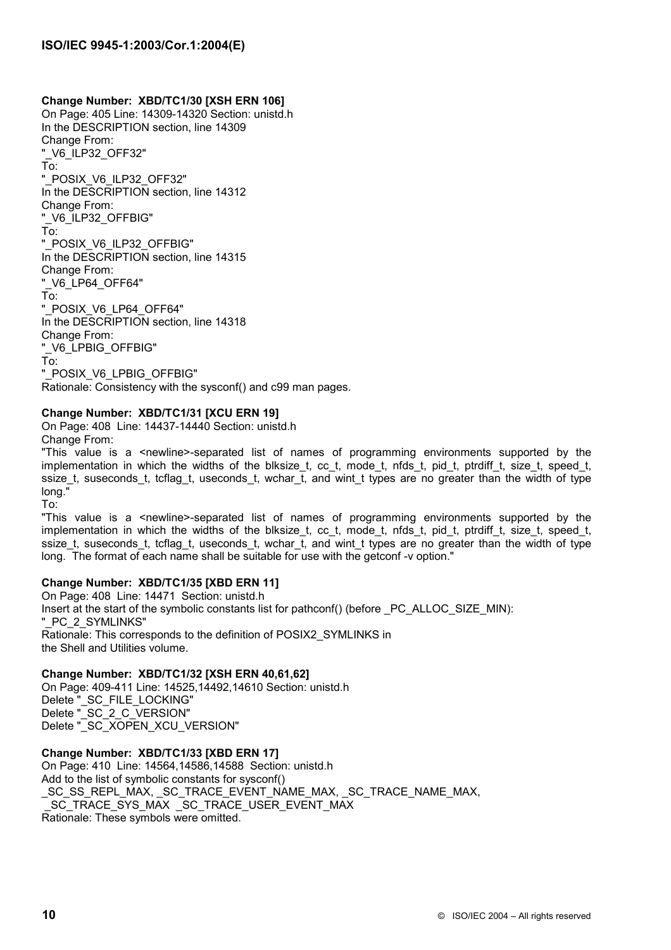# **Change Number: XBD/TC1/30 [XSH ERN 106]**

On Page: 405 Line: 14309-14320 Section: unistd.h In the DESCRIPTION section, line 14309 Change From: "\_V6\_ILP32\_OFF32" To: "\_POSIX\_V6\_ILP32\_OFF32" In the DESCRIPTION section, line 14312 Change From: "\_V6\_ILP32\_OFFBIG" To: "\_POSIX\_V6\_ILP32\_OFFBIG" In the DESCRIPTION section, line 14315 Change From: "\_V6\_LP64\_OFF64" To: "\_POSIX\_V6\_LP64\_OFF64" In the DESCRIPTION section, line 14318 Change From: "\_V6\_LPBIG\_OFFBIG" To: "\_POSIX\_V6\_LPBIG\_OFFBIG" Rationale: Consistency with the sysconf() and c99 man pages.

# **Change Number: XBD/TC1/31 [XCU ERN 19]**

On Page: 408 Line: 14437-14440 Section: unistd.h Change From:

"This value is a <newline>-separated list of names of programming environments supported by the implementation in which the widths of the blksize t, cc t, mode t, nfds t, pid t, ptrdiff t, size t, speed t, ssize\_t, suseconds\_t, tcflag\_t, useconds\_t, wchar\_t, and wint\_t types are no greater than the width of type long."

To:

"This value is a <newline>-separated list of names of programming environments supported by the implementation in which the widths of the blksize t, cc t, mode t, nfds t, pid t, ptrdiff t, size t, speed t, ssize\_t, suseconds\_t, tcflag\_t, useconds\_t, wchar\_t, and wint\_t types are no greater than the width of type long. The format of each name shall be suitable for use with the getconf -v option."

# **Change Number: XBD/TC1/35 [XBD ERN 11]**

On Page: 408 Line: 14471 Section: unistd.h Insert at the start of the symbolic constants list for pathconf() (before \_PC\_ALLOC\_SIZE\_MIN): "\_PC\_2\_SYMLINKS" Rationale: This corresponds to the definition of POSIX2\_SYMLINKS in the Shell and Utilities volume.

**Change Number: XBD/TC1/32 [XSH ERN 40,61,62]**  On Page: 409-411 Line: 14525,14492,14610 Section: unistd.h Delete" SC\_FILE\_LOCKING" Delete "SC\_2\_C\_VERSION" Delete "\_SC\_XOPEN\_XCU\_VERSION"

**Change Number: XBD/TC1/33 [XBD ERN 17]** On Page: 410 Line: 14564,14586,14588 Section: unistd.h Add to the list of symbolic constants for sysconf() \_SC\_SS\_REPL\_MAX, \_SC\_TRACE\_EVENT\_NAME\_MAX, \_SC\_TRACE\_NAME\_MAX, \_SC\_TRACE\_SYS\_MAX \_SC\_TRACE\_USER\_EVENT\_MAX Rationale: These symbols were omitted.